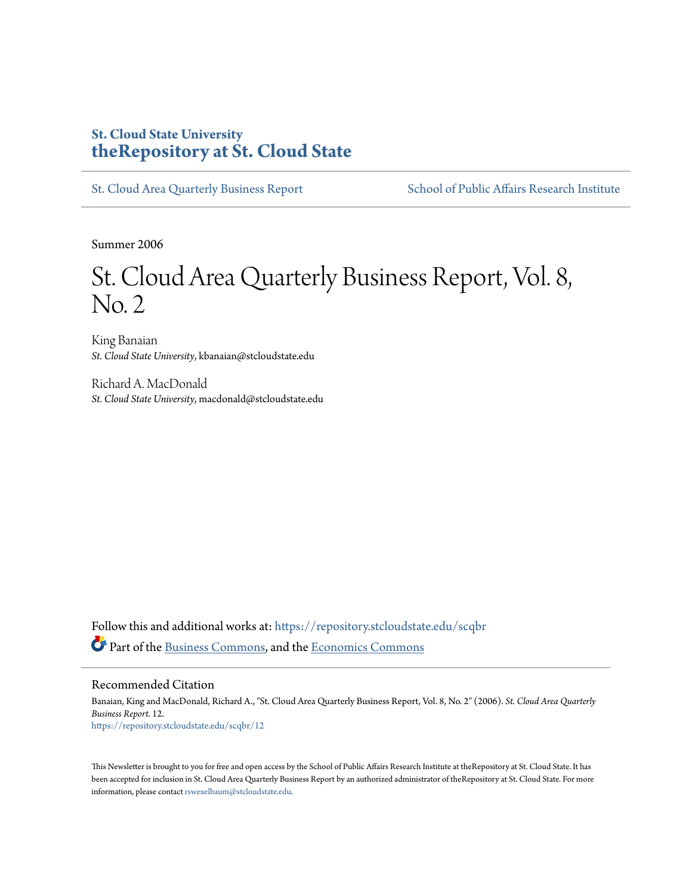#### **St. Cloud State University [theRepository at St. Cloud State](https://repository.stcloudstate.edu?utm_source=repository.stcloudstate.edu%2Fscqbr%2F12&utm_medium=PDF&utm_campaign=PDFCoverPages)**

[St. Cloud Area Quarterly Business Report](https://repository.stcloudstate.edu/scqbr?utm_source=repository.stcloudstate.edu%2Fscqbr%2F12&utm_medium=PDF&utm_campaign=PDFCoverPages) [School of Public Affairs Research Institute](https://repository.stcloudstate.edu/sopari?utm_source=repository.stcloudstate.edu%2Fscqbr%2F12&utm_medium=PDF&utm_campaign=PDFCoverPages)

Summer 2006

## St. Cloud Area Quarterly Business Report, Vol. 8, No. 2

King Banaian *St. Cloud State University*, kbanaian@stcloudstate.edu

Richard A. MacDonald *St. Cloud State University*, macdonald@stcloudstate.edu

Follow this and additional works at: [https://repository.stcloudstate.edu/scqbr](https://repository.stcloudstate.edu/scqbr?utm_source=repository.stcloudstate.edu%2Fscqbr%2F12&utm_medium=PDF&utm_campaign=PDFCoverPages) Part of the [Business Commons,](http://network.bepress.com/hgg/discipline/622?utm_source=repository.stcloudstate.edu%2Fscqbr%2F12&utm_medium=PDF&utm_campaign=PDFCoverPages) and the [Economics Commons](http://network.bepress.com/hgg/discipline/340?utm_source=repository.stcloudstate.edu%2Fscqbr%2F12&utm_medium=PDF&utm_campaign=PDFCoverPages)

Recommended Citation

Banaian, King and MacDonald, Richard A., "St. Cloud Area Quarterly Business Report, Vol. 8, No. 2" (2006). *St. Cloud Area Quarterly Business Report*. 12. [https://repository.stcloudstate.edu/scqbr/12](https://repository.stcloudstate.edu/scqbr/12?utm_source=repository.stcloudstate.edu%2Fscqbr%2F12&utm_medium=PDF&utm_campaign=PDFCoverPages)

This Newsletter is brought to you for free and open access by the School of Public Affairs Research Institute at theRepository at St. Cloud State. It has been accepted for inclusion in St. Cloud Area Quarterly Business Report by an authorized administrator of theRepository at St. Cloud State. For more information, please contact [rswexelbaum@stcloudstate.edu.](mailto:rswexelbaum@stcloudstate.edu)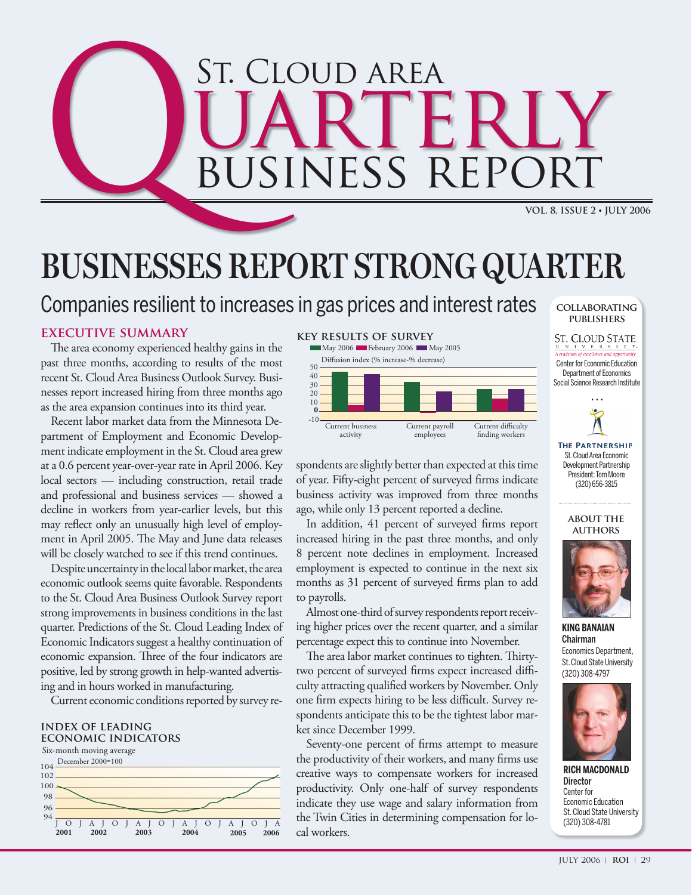# St. Cloud area **COLOUID AREA**<br>BUSINESS REPORT ERL<br>REPOR **BUSINESS RE**

## **BUSINESSES REPORT STRONG QUARTER**

## Companies resilient to increases in gas prices and interest rates

#### **executive summary**

The area economy experienced healthy gains in the past three months, according to results of the most recent St. Cloud Area Business Outlook Survey. Businesses report increased hiring from three months ago as the area expansion continues into its third year.

Recent labor market data from the Minnesota Department of Employment and Economic Development indicate employment in the St. Cloud area grew at a 0.6 percent year-over-year rate in April 2006. Key local sectors — including construction, retail trade and professional and business services — showed a decline in workers from year-earlier levels, but this may reflect only an unusually high level of employment in April 2005. The May and June data releases will be closely watched to see if this trend continues.

Despite uncertainty in the local labor market, the area economic outlook seems quite favorable. Respondents to the St. Cloud Area Business Outlook Survey report strong improvements in business conditions in the last quarter. Predictions of the St. Cloud Leading Index of Economic Indicators suggest a healthy continuation of economic expansion. Three of the four indicators are positive, led by strong growth in help-wanted advertising and in hours worked in manufacturing.

Current economic conditions reported by survey re-

#### **index of leading economic indicators**



#### **key results of survey**



spondents are slightly better than expected at this time of year. Fifty-eight percent of surveyed firms indicate business activity was improved from three months ago, while only 13 percent reported a decline.

In addition, 41 percent of surveyed firms report increased hiring in the past three months, and only 8 percent note declines in employment. Increased employment is expected to continue in the next six months as 31 percent of surveyed firms plan to add to payrolls.

Almost one-third of survey respondents report receiving higher prices over the recent quarter, and a similar percentage expect this to continue into November.

The area labor market continues to tighten. Thirtytwo percent of surveyed firms expect increased difficulty attracting qualified workers by November. Only one firm expects hiring to be less difficult. Survey respondents anticipate this to be the tightest labor market since December 1999.

Seventy-one percent of firms attempt to measure the productivity of their workers, and many firms use creative ways to compensate workers for increased productivity. Only one-half of survey respondents indicate they use wage and salary information from the Twin Cities in determining compensation for local workers.



Social Science Research Institute





(320) 656-3815



**King Banaian** Chairman Economics Department, St. Cloud State University (320) 308-4797



**Rich MacDonald Director** Center for Economic Education St. Cloud State University (320) 308-4781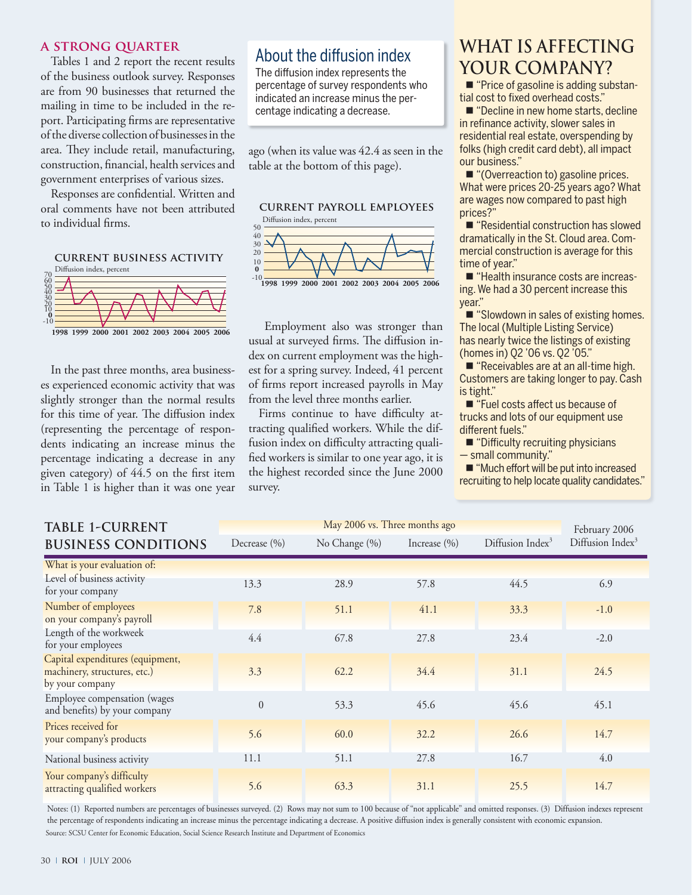#### **a strong quarter**

Tables 1 and 2 report the recent results of the business outlook survey. Responses are from 90 businesses that returned the mailing in time to be included in the report. Participating firms are representative .<br>of the diverse collection of businesses in the area. They include retail, manufacturing, construction, financial, health services and government enterprises of various sizes.

Responses are confidential. Written and oral comments have not been attributed to individual firms.

#### **current business activity**



In the past three months, area businesses experienced economic activity that was slightly stronger than the normal results for this time of year. The diffusion index (representing the percentage of respondents indicating an increase minus the percentage indicating a decrease in any given category) of 44.5 on the first item in Table 1 is higher than it was one year

### About the diffusion index

The diffusion index represents the percentage of survey respondents who indicated an increase minus the percentage indicating a decrease.

ago (when its value was 42.4 as seen in the table at the bottom of this page).



dex on current employment was the highest for a spring survey. Indeed, 41 percent from the level three months earlier. Employment also was stronger than usual at surveyed firms. The diffusion inof firms report increased payrolls in May

Firms continue to have difficulty attracting qualified workers. While the diffusion index on difficulty attracting qualified workers is similar to one year ago, it is the highest recorded since the June 2000 survey.

## **what is affecting your company?**

■ "Price of gasoline is adding substantial cost to fixed overhead costs."

■ "Decline in new home starts, decline in refinance activity, slower sales in residential real estate, overspending by folks (high credit card debt), all impact our business."

■ "(Overreaction to) gasoline prices. What were prices 20-25 years ago? What are wages now compared to past high prices?"

■ "Residential construction has slowed dramatically in the St. Cloud area. Commercial construction is average for this time of year."

■ "Health insurance costs are increasing. We had a 30 percent increase this year."

■ "Slowdown in sales of existing homes. The local (Multiple Listing Service) has nearly twice the listings of existing (homes in) Q2 '06 vs. Q2 '05."

■ "Receivables are at an all-time high. Customers are taking longer to pay. Cash is tight."

■ "Fuel costs affect us because of trucks and lots of our equipment use different fuels."

■ "Difficulty recruiting physicians — small community."

■ "Much effort will be put into increased recruiting to help locate quality candidates."

| <b>TABLE 1-CURRENT</b>                                                              |                  | February 2006 |                  |                              |                              |
|-------------------------------------------------------------------------------------|------------------|---------------|------------------|------------------------------|------------------------------|
| <b>BUSINESS CONDITIONS</b>                                                          | Decrease $(\% )$ | No Change (%) | Increase $(\% )$ | Diffusion Index <sup>3</sup> | Diffusion Index <sup>3</sup> |
| What is your evaluation of:                                                         |                  |               |                  |                              |                              |
| Level of business activity<br>for your company                                      | 13.3             | 28.9          | 57.8             | 44.5                         | 6.9                          |
| Number of employees<br>on your company's payroll                                    | 7.8              | 51.1          | 41.1             | 33.3                         | $-1.0$                       |
| Length of the workweek<br>for your employees                                        | 4.4              | 67.8          | 27.8             | 23.4                         | $-2.0$                       |
| Capital expenditures (equipment,<br>machinery, structures, etc.)<br>by your company | 3.3              | 62.2          | 34.4             | 31.1                         | 24.5                         |
| Employee compensation (wages<br>and benefits) by your company                       | $\theta$         | 53.3          | 45.6             | 45.6                         | 45.1                         |
| Prices received for<br>your company's products                                      | 5.6              | 60.0          | 32.2             | 26.6                         | 14.7                         |
| National business activity                                                          | 11.1             | 51.1          | 27.8             | 16.7                         | 4.0                          |
| Your company's difficulty<br>attracting qualified workers                           | 5.6              | 63.3          | 31.1             | 25.5                         | 14.7                         |

Notes: (1) Reported numbers are percentages of businesses surveyed. (2) Rows may not sum to 100 because of "not applicable" and omitted responses. (3) Diffusion indexes represent the percentage of respondents indicating an increase minus the percentage indicating a decrease. A positive diffusion index is generally consistent with economic expansion. Source: SCSU Center for Economic Education, Social Science Research Institute and Department of Economics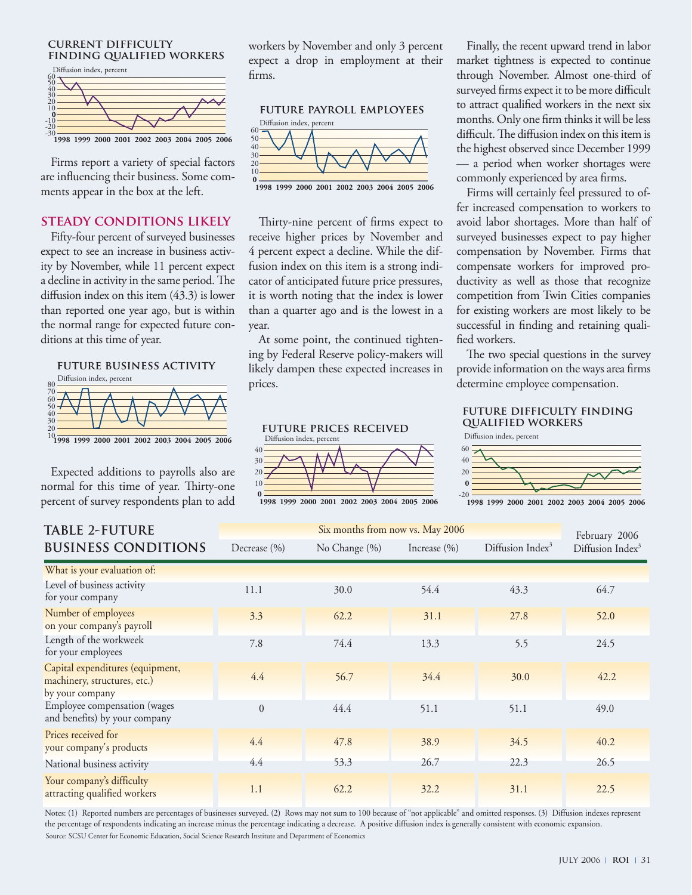#### **current difficulty finding qualified workers**



Firms report a variety of special factors are influencing their business. Some comments appear in the box at the left.

#### **steady conditions likely**

Fifty-four percent of surveyed businesses expect to see an increase in business activity by November, while 11 percent expect a decline in activity in the same period. The diffusion index on this item (43.3) is lower than reported one year ago, but is within the normal range for expected future conditions at this time of year.



Expected additions to payrolls also are normal for this time of year. Thirty-one percent of survey respondents plan to add workers by November and only 3 percent expect a drop in employment at their firms.



Thirty-nine percent of firms expect to receive higher prices by November and 4 percent expect a decline. While the diffusion index on this item is a strong indicator of anticipated future price pressures, it is worth noting that the index is lower than a quarter ago and is the lowest in a year.

At some point, the continued tightenlikely dampen these expected increases in prices. ing by Federal Reserve policy-makers will

**future prices received** 10 20 30 40 Diffusion index, percent

**0 1998 1999 2000 2001 2002 2003 2004 2005 2006**

Finally, the recent upward trend in labor market tightness is expected to continue through November. Almost one-third of surveyed firms expect it to be more difficult to attract qualified workers in the next six months. Only one firm thinks it will be less difficult. The diffusion index on this item is the highest observed since December 1999 a period when worker shortages were commonly experienced by area firms.

Firms will certainly feel pressured to offer increased compensation to workers to avoid labor shortages. More than half of surveyed businesses expect to pay higher compensation by November. Firms that compensate workers for improved productivity as well as those that recognize competition from Twin Cities companies for existing workers are most likely to be successful in finding and retaining qualified workers.

The two special questions in the survey provide information on the ways area firms determine employee compensation.

#### **future difficulty finding qualified workers**



<sup>-20</sup> **1998 1999 2000 2001 2002 2003 2004 2005 2006**

| <b>TABLE 2-FUTURE</b>                                                               |                  | February 2006 |                  |                              |                              |
|-------------------------------------------------------------------------------------|------------------|---------------|------------------|------------------------------|------------------------------|
| <b>BUSINESS CONDITIONS</b>                                                          | Decrease $(\% )$ | No Change (%) | Increase $(\% )$ | Diffusion Index <sup>3</sup> | Diffusion Index <sup>3</sup> |
| What is your evaluation of:                                                         |                  |               |                  |                              |                              |
| Level of business activity<br>for your company                                      | 11.1             | 30.0          | 54.4             | 43.3                         | 64.7                         |
| Number of employees<br>on your company's payroll                                    | 3.3              | 62.2          | 31.1             | 27.8                         | 52.0                         |
| Length of the workweek<br>for your employees                                        | 7.8              | 74.4          | 13.3             | 5.5                          | 24.5                         |
| Capital expenditures (equipment,<br>machinery, structures, etc.)<br>by your company | 4.4              | 56.7          | 34.4             | 30.0                         | 42.2                         |
| Employee compensation (wages<br>and benefits) by your company                       | $\Omega$         | 44.4          | 51.1             | 51.1                         | 49.0                         |
| Prices received for<br>your company's products                                      | 4.4              | 47.8          | 38.9             | 34.5                         | 40.2                         |
| National business activity                                                          | 4.4              | 53.3          | 26.7             | 22.3                         | 26.5                         |
| Your company's difficulty<br>attracting qualified workers                           | 1.1              | 62.2          | 32.2             | 31.1                         | 22.5                         |

Source: SCSU Center for Economic Education, Social Science Research Institute and Department of Economics Notes: (1) Reported numbers are percentages of businesses surveyed. (2) Rows may not sum to 100 because of "not applicable" and omitted responses. (3) Diffusion indexes represent the percentage of respondents indicating an increase minus the percentage indicating a decrease. A positive diffusion index is generally consistent with economic expansion.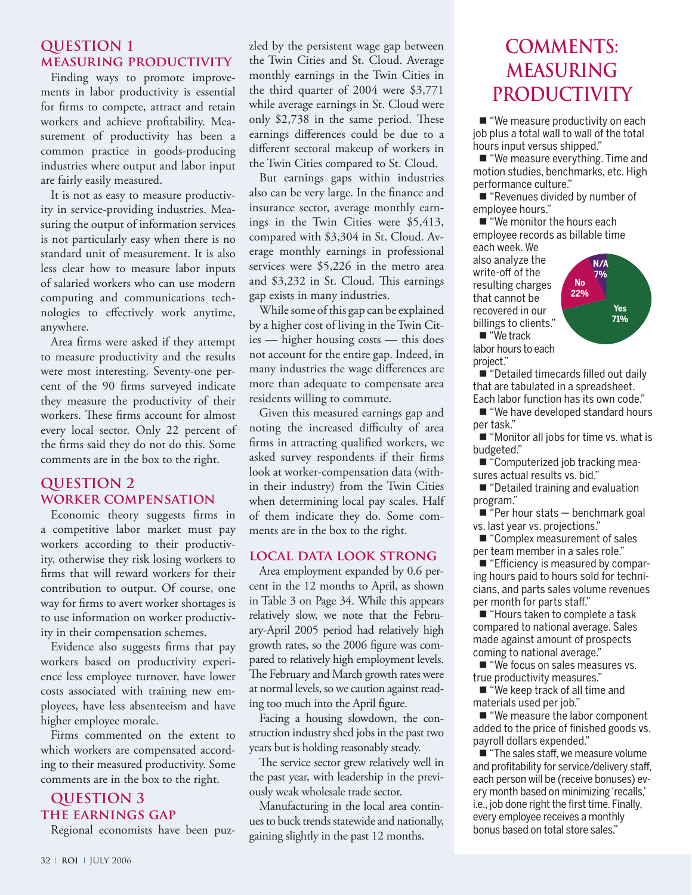#### **QUESTION 1 measuring productivity**

Finding ways to promote improvements in labor productivity is essential for firms to compete, attract and retain workers and achieve profitability. Measurement of productivity has been a common practice in goods-producing industries where output and labor input are fairly easily measured.

It is not as easy to measure productivity in service-providing industries. Measuring the output of information services is not particularly easy when there is no standard unit of measurement. It is also less clear how to measure labor inputs of salaried workers who can use modern computing and communications technologies to effectively work anytime, anywhere.

Area firms were asked if they attempt to measure productivity and the results were most interesting. Seventy-one percent of the 90 firms surveyed indicate they measure the productivity of their workers. These firms account for almost every local sector. Only 22 percent of the firms said they do not do this. Some comments are in the box to the right.

#### **QUESTION 2 worker compensation**

Economic theory suggests firms in a competitive labor market must pay workers according to their productivity, otherwise they risk losing workers to firms that will reward workers for their contribution to output. Of course, one way for firms to avert worker shortages is to use information on worker productivity in their compensation schemes.

Evidence also suggests firms that pay workers based on productivity experience less employee turnover, have lower costs associated with training new employees, have less absenteeism and have higher employee morale.

Firms commented on the extent to which workers are compensated according to their measured productivity. Some comments are in the box to the right.

#### **QUESTION 3 the earnings gap**

Regional economists have been puz-

zled by the persistent wage gap between the Twin Cities and St. Cloud. Average monthly earnings in the Twin Cities in the third quarter of 2004 were \$3,771 while average earnings in St. Cloud were only \$2,738 in the same period. These earnings differences could be due to a different sectoral makeup of workers in the Twin Cities compared to St. Cloud.

But earnings gaps within industries also can be very large. In the finance and insurance sector, average monthly earnings in the Twin Cities were \$5,413, compared with \$3,304 in St. Cloud. Average monthly earnings in professional services were \$5,226 in the metro area and \$3,232 in St. Cloud. This earnings gap exists in many industries.

While some of this gap can be explained by a higher cost of living in the Twin Cities — higher housing costs — this does not account for the entire gap. Indeed, in many industries the wage differences are more than adequate to compensate area residents willing to commute.

Given this measured earnings gap and noting the increased difficulty of area firms in attracting qualified workers, we asked survey respondents if their firms look at worker-compensation data (within their industry) from the Twin Cities when determining local pay scales. Half of them indicate they do. Some comments are in the box to the right.

#### **local data look strong**

Area employment expanded by 0.6 percent in the 12 months to April, as shown in Table 3 on Page 34. While this appears relatively slow, we note that the February-April 2005 period had relatively high growth rates, so the 2006 figure was compared to relatively high employment levels. The February and March growth rates were at normal levels, so we caution against reading too much into the April figure.

Facing a housing slowdown, the construction industry shed jobs in the past two years but is holding reasonably steady.

The service sector grew relatively well in the past year, with leadership in the previously weak wholesale trade sector.

Manufacturing in the local area continues to buck trends statewide and nationally, gaining slightly in the past 12 months.

## **comments: measuring PRODUCTIVITY**

■ "We measure productivity on each job plus a total wall to wall of the total hours input versus shipped."

■ "We measure everything. Time and motion studies, benchmarks, etc. High performance culture."

■ "Revenues divided by number of employee hours."

■ "We monitor the hours each employee records as billable time

each week. We also analyze the write-off of the resulting charges that cannot be recovered in our billings to clients." ■ "We track



labor hours to each project."

■ "Detailed timecards filled out daily that are tabulated in a spreadsheet. Each labor function has its own code."

■ "We have developed standard hours per task."

■ "Monitor all jobs for time vs. what is budgeted."

■ "Computerized job tracking measures actual results vs. bid."

■ "Detailed training and evaluation program."

■ "Per hour stats – benchmark goal vs. last year vs. projections."

■ "Complex measurement of sales per team member in a sales role."

■ "Efficiency is measured by comparing hours paid to hours sold for technicians, and parts sales volume revenues per month for parts staff."

■ "Hours taken to complete a task compared to national average. Sales made against amount of prospects coming to national average."

■ "We focus on sales measures vs. true productivity measures."

■ "We keep track of all time and materials used per job."

■ "We measure the labor component added to the price of finished goods vs. payroll dollars expended."

■ "The sales staff, we measure volume and profitability for service/delivery staff, each person will be (receive bonuses) every month based on minimizing 'recalls,' i.e., job done right the first time. Finally, every employee receives a monthly bonus based on total store sales."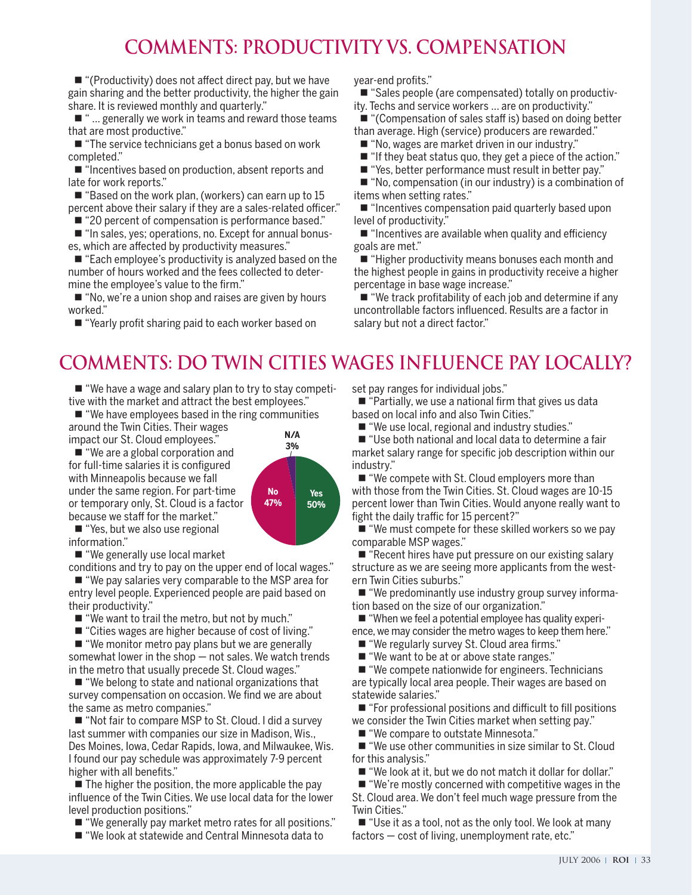## **comments: productivity vs. compensation**

■ "(Productivity) does not affect direct pay, but we have gain sharing and the better productivity, the higher the gain share. It is reviewed monthly and quarterly."

■ " ... generally we work in teams and reward those teams that are most productive."

■ "The service technicians get a bonus based on work completed."

■ "Incentives based on production, absent reports and late for work reports."

■ "Based on the work plan, (workers) can earn up to 15 percent above their salary if they are a sales-related officer." Internsive more setting rates.<br>"Incentives compensation paid quarterly based up

■ "In sales, yes; operations, no. Except for annual bonuses, which are affected by productivity measures."

■ "Each employee's productivity is analyzed based on the number of hours worked and the fees collected to determine the employee's value to the firm." Sherry

■ "No, we're a union shop and raises are given by hours<br>orked." worked."

■ "Yearly profit sharing paid to each worker based on

year-end profits."

■ "Sales people (are compensated) totally on productivity. Techs and service workers ... are on productivity."

■ "(Compensation of sales staff is) based on doing better than average. High (service) producers are rewarded."

■ "No, wages are market driven in our industry."

■ "If they beat status quo, they get a piece of the action."

■ "Yes, better performance must result in better pay."

■ "No, compensation (in our industry) is a combination of items when setting rates."

■ "20 percent of compensation is performance based." Performance based." Para Area Workers? I evel of productivity." ■ "Incentives compensation paid quarterly based upon level of productivity."

> ■ "Incentives are available when quality and efficiency goals are met."

■ "Higher productivity means bonuses each month and the highest people in gains in productivity receive a higher percentage in base wage increase."

■ "We track profitability of each job and determine if any uncontrollable factors influenced. Results are a factor in salary but not a direct factor."

## **comments: Do Twin Cities wages influence pay locally?**

■ "We have a wage and salary plan to try to stay competitive with the market and attract the best employees."

■ "We have employees based in the ring communities around the Twin Cities. Their wages impact our St. Cloud employees." **N/A**

■ "We are a global corporation and for full-time salaries it is configured with Minneapolis because we fall under the same region. For part-time or temporary only, St. Cloud is a factor because we staff for the market."

■ "Yes, but we also use regional information."

■ "We generally use local market

conditions and try to pay on the upper end of local wages."

■ "We pay salaries very comparable to the MSP area for entry level people. Experienced people are paid based on their productivity."

■ "We want to trail the metro, but not by much."

■ "Cities wages are higher because of cost of living."

■ "We monitor metro pay plans but we are generally somewhat lower in the shop — not sales. We watch trends in the metro that usually precede St. Cloud wages."

■ "We belong to state and national organizations that survey compensation on occasion. We find we are about the same as metro companies."

■ "Not fair to compare MSP to St. Cloud. I did a survey last summer with companies our size in Madison, Wis., Des Moines, Iowa, Cedar Rapids, Iowa, and Milwaukee, Wis. I found our pay schedule was approximately 7-9 percent higher with all benefits."

 $\blacksquare$  The higher the position, the more applicable the pay influence of the Twin Cities. We use local data for the lower level production positions."

- "We generally pay market metro rates for all positions."
- "We look at statewide and Central Minnesota data to

set pay ranges for individual jobs."

■ "Partially, we use a national firm that gives us data based on local info and also Twin Cities."

■ "We use local, regional and industry studies."

■ "Use both national and local data to determine a fair market salary range for specific job description within our industry."

■ "We compete with St. Cloud employers more than with those from the Twin Cities. St. Cloud wages are 10-15 percent lower than Twin Cities. Would anyone really want to fight the daily traffic for 15 percent?"

■ "We must compete for these skilled workers so we pay comparable MSP wages."

■ "Recent hires have put pressure on our existing salary structure as we are seeing more applicants from the western Twin Cities suburbs."

■ "We predominantly use industry group survey information based on the size of our organization."

■ "When we feel a potential employee has quality experience, we may consider the metro wages to keep them here."

■ "We regularly survey St. Cloud area firms."

■ "We want to be at or above state ranges."

■ "We compete nationwide for engineers. Technicians are typically local area people. Their wages are based on statewide salaries."

■ "For professional positions and difficult to fill positions we consider the Twin Cities market when setting pay."

■ "We compare to outstate Minnesota."

■ "We use other communities in size similar to St. Cloud for this analysis."

■ "We look at it, but we do not match it dollar for dollar."

■ "We're mostly concerned with competitive wages in the

St. Cloud area. We don't feel much wage pressure from the Twin Cities."

■ "Use it as a tool, not as the only tool. We look at many factors — cost of living, unemployment rate, etc."

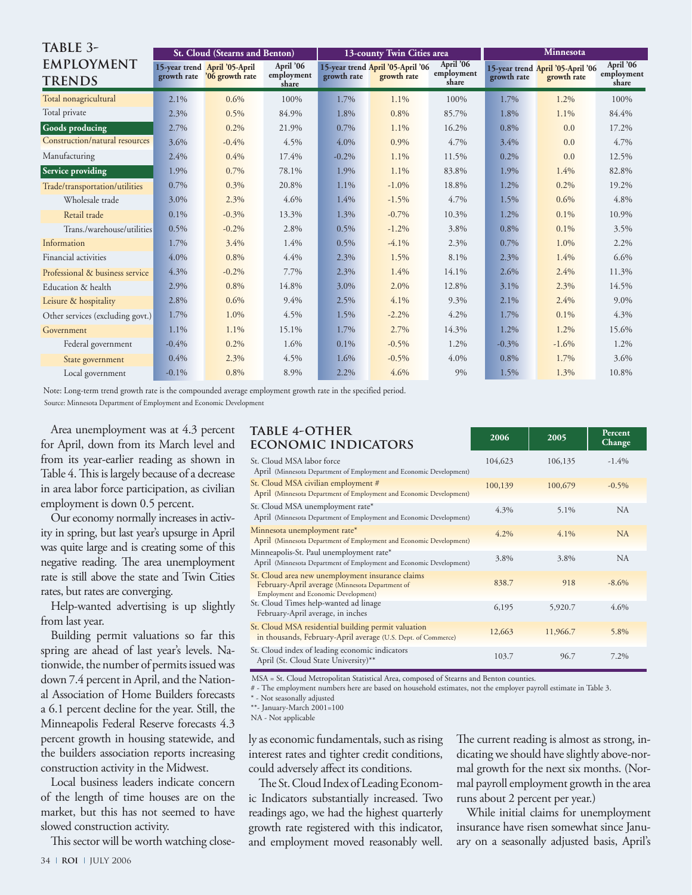| TABLE 3-                           |          | St. Cloud (Stearns and Benton)                               |                                  | 13-county Twin Cities area |                                                  |                                  | <b>Minnesota</b> |                                                  |                                  |
|------------------------------------|----------|--------------------------------------------------------------|----------------------------------|----------------------------|--------------------------------------------------|----------------------------------|------------------|--------------------------------------------------|----------------------------------|
| <b>EMPLOYMENT</b><br><b>TRENDS</b> |          | 15-year trend April '05-April<br>growth rate '06 growth rate | April '06<br>employment<br>share | growth rate                | 15-year trend April '05-April '06<br>growth rate | April '06<br>employment<br>share | growth rate      | 15-year trend April '05-April '06<br>growth rate | April '06<br>employment<br>share |
| Total nonagricultural              | 2.1%     | 0.6%                                                         | 100%                             | 1.7%                       | 1.1%                                             | 100%                             | 1.7%             | 1.2%                                             | 100%                             |
| Total private                      | 2.3%     | 0.5%                                                         | 84.9%                            | 1.8%                       | 0.8%                                             | 85.7%                            | 1.8%             | 1.1%                                             | 84.4%                            |
| <b>Goods producing</b>             | 2.7%     | 0.2%                                                         | 21.9%                            | 0.7%                       | 1.1%                                             | 16.2%                            | 0.8%             | 0.0                                              | 17.2%                            |
| Construction/natural resources     | 3.6%     | $-0.4%$                                                      | 4.5%                             | 4.0%                       | 0.9%                                             | 4.7%                             | 3.4%             | 0.0                                              | 4.7%                             |
| Manufacturing                      | 2.4%     | 0.4%                                                         | 17.4%                            | $-0.2%$                    | $1.1\%$                                          | 11.5%                            | 0.2%             | 0.0                                              | 12.5%                            |
| Service providing                  | 1.9%     | 0.7%                                                         | 78.1%                            | 1.9%                       | 1.1%                                             | 83.8%                            | 1.9%             | 1.4%                                             | 82.8%                            |
| Trade/transportation/utilities     | 0.7%     | 0.3%                                                         | 20.8%                            | 1.1%                       | $-1.0\%$                                         | 18.8%                            | 1.2%             | $0.2\%$                                          | 19.2%                            |
| Wholesale trade                    | 3.0%     | 2.3%                                                         | 4.6%                             | 1.4%                       | $-1.5%$                                          | 4.7%                             | 1.5%             | 0.6%                                             | 4.8%                             |
| Retail trade                       | 0.1%     | $-0.3%$                                                      | 13.3%                            | 1.3%                       | $-0.7\%$                                         | 10.3%                            | 1.2%             | $0.1\%$                                          | 10.9%                            |
| Trans./warehouse/utilities         | $0.5\%$  | $-0.2%$                                                      | 2.8%                             | 0.5%                       | $-1.2\%$                                         | 3.8%                             | 0.8%             | 0.1%                                             | 3.5%                             |
| Information                        | 1.7%     | 3.4%                                                         | 1.4%                             | 0.5%                       | $-4.1\%$                                         | 2.3%                             | $0.7\%$          | 1.0%                                             | $2.2\%$                          |
| Financial activities               | $4.0\%$  | 0.8%                                                         | 4.4%                             | 2.3%                       | 1.5%                                             | 8.1%                             | 2.3%             | 1.4%                                             | $6.6\%$                          |
| Professional & business service    | 4.3%     | $-0.2%$                                                      | 7.7%                             | 2.3%                       | 1.4%                                             | 14.1%                            | 2.6%             | 2.4%                                             | 11.3%                            |
| Education & health                 | 2.9%     | 0.8%                                                         | 14.8%                            | 3.0%                       | 2.0%                                             | 12.8%                            | 3.1%             | 2.3%                                             | 14.5%                            |
| Leisure & hospitality              | 2.8%     | 0.6%                                                         | 9.4%                             | 2.5%                       | $4.1\%$                                          | 9.3%                             | $2.1\%$          | 2.4%                                             | $9.0\%$                          |
| Other services (excluding govt.)   | 1.7%     | 1.0%                                                         | 4.5%                             | 1.5%                       | $-2.2\%$                                         | 4.2%                             | 1.7%             | 0.1%                                             | 4.3%                             |
| Government                         | 1.1%     | 1.1%                                                         | 15.1%                            | 1.7%                       | $2.7\%$                                          | 14.3%                            | 1.2%             | 1.2%                                             | 15.6%                            |
| Federal government                 | $-0.4%$  | 0.2%                                                         | 1.6%                             | $0.1\%$                    | $-0.5%$                                          | 1.2%                             | $-0.3\%$         | $-1.6%$                                          | 1.2%                             |
| State government                   | 0.4%     | 2.3%                                                         | 4.5%                             | 1.6%                       | $-0.5%$                                          | 4.0%                             | 0.8%             | 1.7%                                             | 3.6%                             |
| Local government                   | $-0.1\%$ | 0.8%                                                         | 8.9%                             | 2.2%                       | 4.6%                                             | 9%                               | 1.5%             | 1.3%                                             | 10.8%                            |

Note: Long-term trend growth rate is the compounded average employment growth rate in the specified period.

Source: Minnesota Department of Employment and Economic Development

Area unemployment was at 4.3 percent for April, down from its March level and from its year-earlier reading as shown in Table 4. This is largely because of a decrease in area labor force participation, as civilian employment is down 0.5 percent.

Our economy normally increases in activity in spring, but last year's upsurge in April was quite large and is creating some of this negative reading. The area unemployment rate is still above the state and Twin Cities rates, but rates are converging.

Help-wanted advertising is up slightly from last year.

Building permit valuations so far this spring are ahead of last year's levels. Nationwide, the number of permits issued was down 7.4 percent in April, and the National Association of Home Builders forecasts a 6.1 percent decline for the year. Still, the Minneapolis Federal Reserve forecasts 4.3 percent growth in housing statewide, and the builders association reports increasing construction activity in the Midwest.

Local business leaders indicate concern of the length of time houses are on the market, but this has not seemed to have slowed construction activity.

This sector will be worth watching close-

| TABLE 4-OTHER<br><b>ECONOMIC INDICATORS</b>                                                                                                 | 2006    | 2005     | Percent<br>Change |
|---------------------------------------------------------------------------------------------------------------------------------------------|---------|----------|-------------------|
| St. Cloud MSA labor force<br>April (Minnesota Department of Employment and Economic Development)                                            | 104,623 | 106,135  | $-1.4%$           |
| St. Cloud MSA civilian employment #<br>April (Minnesota Department of Employment and Economic Development)                                  | 100,139 | 100,679  | $-0.5%$           |
| St. Cloud MSA unemployment rate*<br>April (Minnesota Department of Employment and Economic Development)                                     | 4.3%    | 5.1%     | NA                |
| Minnesota unemployment rate*<br>April (Minnesota Department of Employment and Economic Development)                                         | $4.2\%$ | $4.1\%$  | <b>NA</b>         |
| Minneapolis-St. Paul unemployment rate*<br>April (Minnesota Department of Employment and Economic Development)                              | 3.8%    | 3.8%     | NA                |
| St. Cloud area new unemployment insurance claims<br>February-April average (Minnesota Department of<br>Employment and Economic Development) | 838.7   | 918      | $-8.6\%$          |
| St. Cloud Times help-wanted ad linage<br>February-April average, in inches                                                                  | 6,195   | 5,920.7  | 4.6%              |
| St. Cloud MSA residential building permit valuation<br>in thousands, February-April average (U.S. Dept. of Commerce)                        | 12,663  | 11,966.7 | 5.8%              |
| St. Cloud index of leading economic indicators<br>April (St. Cloud State University)**                                                      | 103.7   | 96.7     | 7.2%              |

MSA = St. Cloud Metropolitan Statistical Area, composed of Stearns and Benton counties.

# - The employment numbers here are based on household estimates, not the employer payroll estimate in Table 3.

\* - Not seasonally adjusted

\*\*- January-March 2001=100

NA - Not applicable

ly as economic fundamentals, such as rising interest rates and tighter credit conditions, could adversely affect its conditions.

The St. Cloud Index of Leading Economic Indicators substantially increased. Two readings ago, we had the highest quarterly growth rate registered with this indicator, and employment moved reasonably well.

The current reading is almost as strong, indicating we should have slightly above-normal growth for the next six months. (Normal payroll employment growth in the area runs about 2 percent per year.)

While initial claims for unemployment insurance have risen somewhat since January on a seasonally adjusted basis, April's